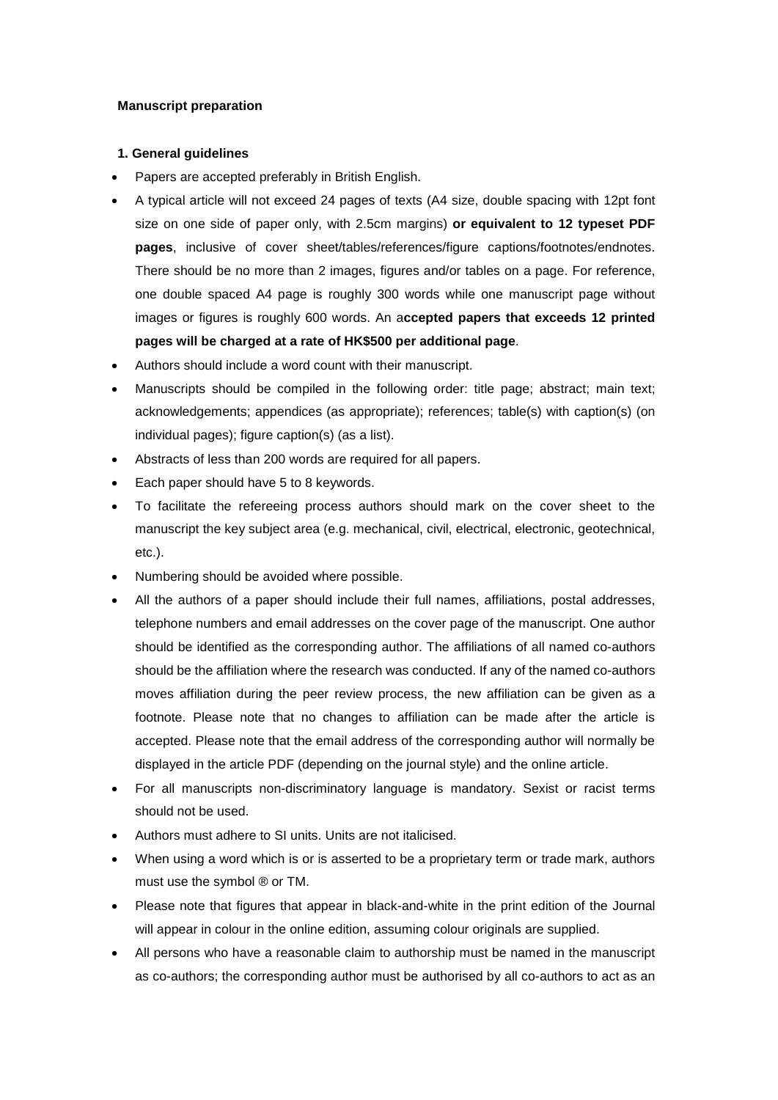# **Manuscript preparation**

# **1. General guidelines**

- Papers are accepted preferably in British English.
- A typical article will not exceed 24 pages of texts (A4 size, double spacing with 12pt font size on one side of paper only, with 2.5cm margins) **or equivalent to 12 typeset PDF pages**, inclusive of cover sheet/tables/references/figure captions/footnotes/endnotes. There should be no more than 2 images, figures and/or tables on a page. For reference, one double spaced A4 page is roughly 300 words while one manuscript page without images or figures is roughly 600 words. An a**ccepted papers that exceeds 12 printed pages will be charged at a rate of HK\$500 per additional page**.
- Authors should include a word count with their manuscript.
- Manuscripts should be compiled in the following order: title page; abstract; main text; acknowledgements; appendices (as appropriate); references; table(s) with caption(s) (on individual pages); figure caption(s) (as a list).
- Abstracts of less than 200 words are required for all papers.
- Each paper should have 5 to 8 keywords.
- To facilitate the refereeing process authors should mark on the cover sheet to the manuscript the key subject area (e.g. mechanical, civil, electrical, electronic, geotechnical, etc.).
- Numbering should be avoided where possible.
- All the authors of a paper should include their full names, affiliations, postal addresses, telephone numbers and email addresses on the cover page of the manuscript. One author should be identified as the corresponding author. The affiliations of all named co-authors should be the affiliation where the research was conducted. If any of the named co-authors moves affiliation during the peer review process, the new affiliation can be given as a footnote. Please note that no changes to affiliation can be made after the article is accepted. Please note that the email address of the corresponding author will normally be displayed in the article PDF (depending on the journal style) and the online article.
- For all manuscripts non-discriminatory language is mandatory. Sexist or racist terms should not be used.
- Authors must adhere to SI units. Units are not italicised.
- When using a word which is or is asserted to be a proprietary term or trade mark, authors must use the symbol ® or TM.
- Please note that figures that appear in black-and-white in the print edition of the Journal will appear in colour in the online edition, assuming colour originals are supplied.
- All persons who have a reasonable claim to authorship must be named in the manuscript as co-authors; the corresponding author must be authorised by all co-authors to act as an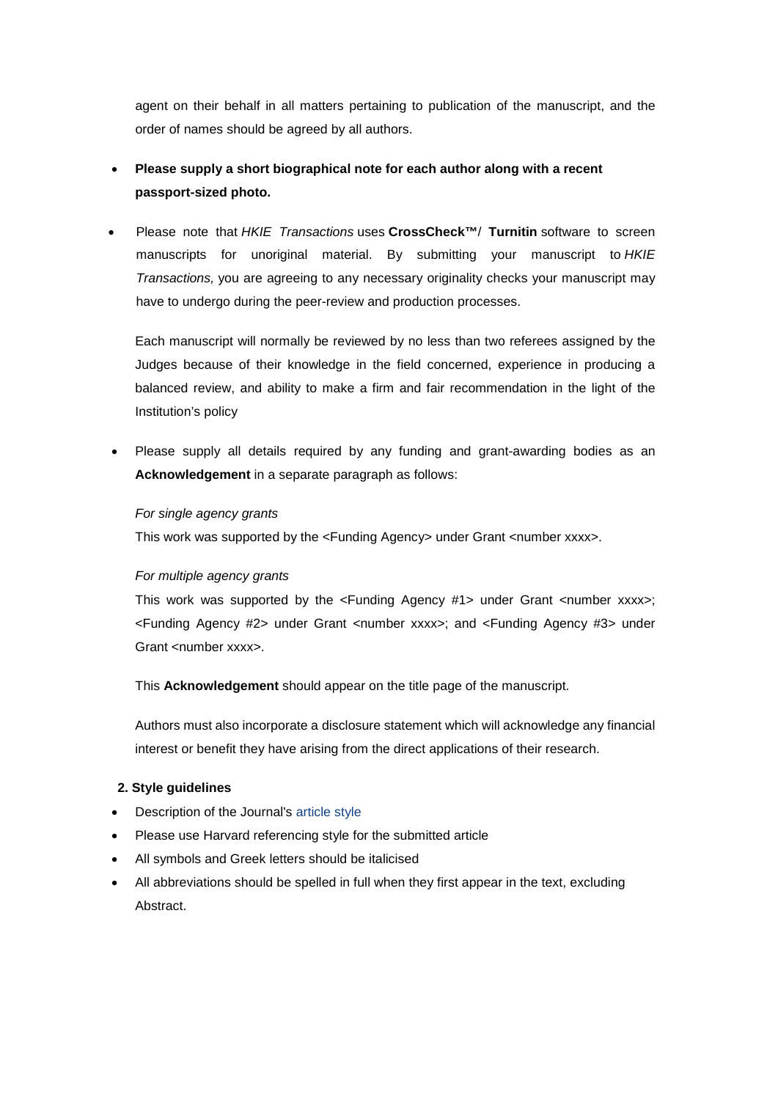agent on their behalf in all matters pertaining to publication of the manuscript, and the order of names should be agreed by all authors.

# • **Please supply a short biographical note for each author along with a recent passport-sized photo.**

• Please note that *HKIE Transactions* uses **[CrossCheck™](http://www.crossref.org/crosscheck.html)**/ **Turnitin** software to screen manuscripts for unoriginal material. By submitting your manuscript to *HKIE Transactions,* you are agreeing to any necessary originality checks your manuscript may have to undergo during the peer-review and production processes.

Each manuscript will normally be reviewed by no less than two referees assigned by the Judges because of their knowledge in the field concerned, experience in producing a balanced review, and ability to make a firm and fair recommendation in the light of the Institution's policy

• Please supply all details required by any funding and grant-awarding bodies as an **Acknowledgement** in a separate paragraph as follows:

# *For single agency grants*

This work was supported by the <Funding Agency> under Grant <number xxxx>.

## *For multiple agency grants*

This work was supported by the  $\le$ Funding Agency #1> under Grant  $\le$ number xxxx>; <Funding Agency #2> under Grant <number xxxx>; and <Funding Agency #3> under Grant <number xxxx>

This **Acknowledgement** should appear on the title page of the manuscript.

Authors must also incorporate a disclosure statement which will acknowledge any financial interest or benefit they have arising from the direct applications of their research.

# **2. Style guidelines**

- Description of the Journal's article style
- Please use Harvard referencing style for the submitted article
- All symbols and Greek letters should be italicised
- All abbreviations should be spelled in full when they first appear in the text, excluding Abstract.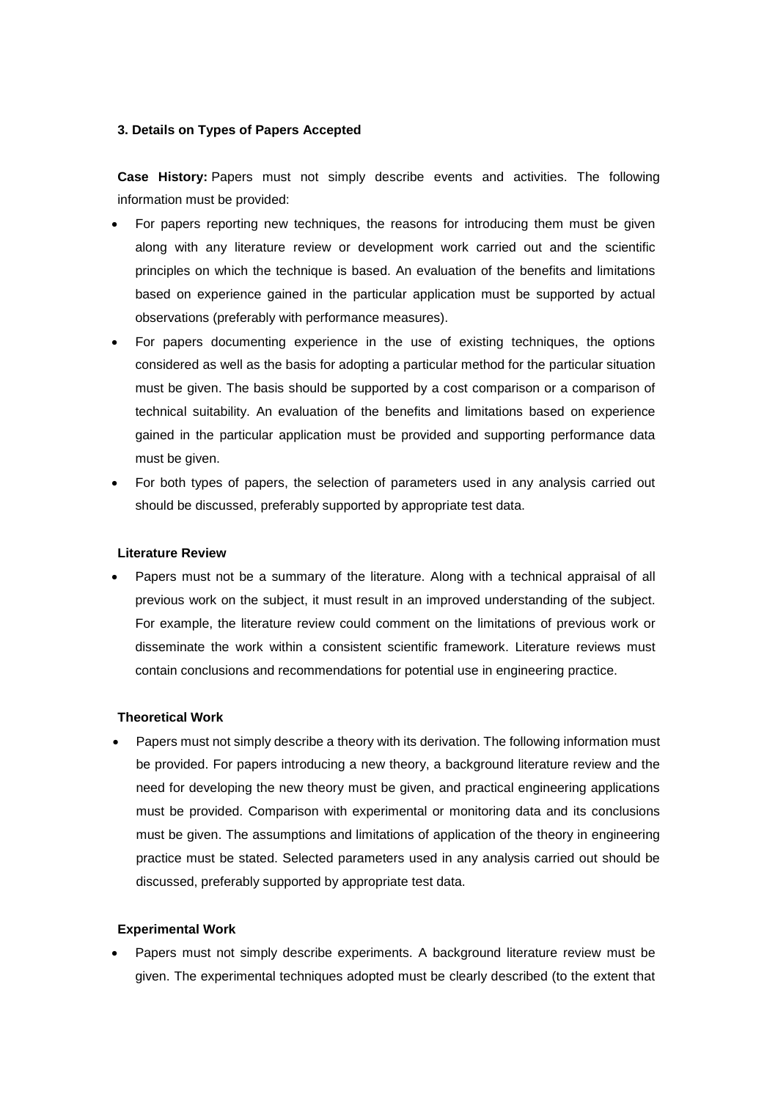# **3. Details on Types of Papers Accepted**

**Case History:** Papers must not simply describe events and activities. The following information must be provided:

- For papers reporting new techniques, the reasons for introducing them must be given along with any literature review or development work carried out and the scientific principles on which the technique is based. An evaluation of the benefits and limitations based on experience gained in the particular application must be supported by actual observations (preferably with performance measures).
- For papers documenting experience in the use of existing techniques, the options considered as well as the basis for adopting a particular method for the particular situation must be given. The basis should be supported by a cost comparison or a comparison of technical suitability. An evaluation of the benefits and limitations based on experience gained in the particular application must be provided and supporting performance data must be given.
- For both types of papers, the selection of parameters used in any analysis carried out should be discussed, preferably supported by appropriate test data.

### **Literature Review**

• Papers must not be a summary of the literature. Along with a technical appraisal of all previous work on the subject, it must result in an improved understanding of the subject. For example, the literature review could comment on the limitations of previous work or disseminate the work within a consistent scientific framework. Literature reviews must contain conclusions and recommendations for potential use in engineering practice.

## **Theoretical Work**

• Papers must not simply describe a theory with its derivation. The following information must be provided. For papers introducing a new theory, a background literature review and the need for developing the new theory must be given, and practical engineering applications must be provided. Comparison with experimental or monitoring data and its conclusions must be given. The assumptions and limitations of application of the theory in engineering practice must be stated. Selected parameters used in any analysis carried out should be discussed, preferably supported by appropriate test data.

#### **Experimental Work**

• Papers must not simply describe experiments. A background literature review must be given. The experimental techniques adopted must be clearly described (to the extent that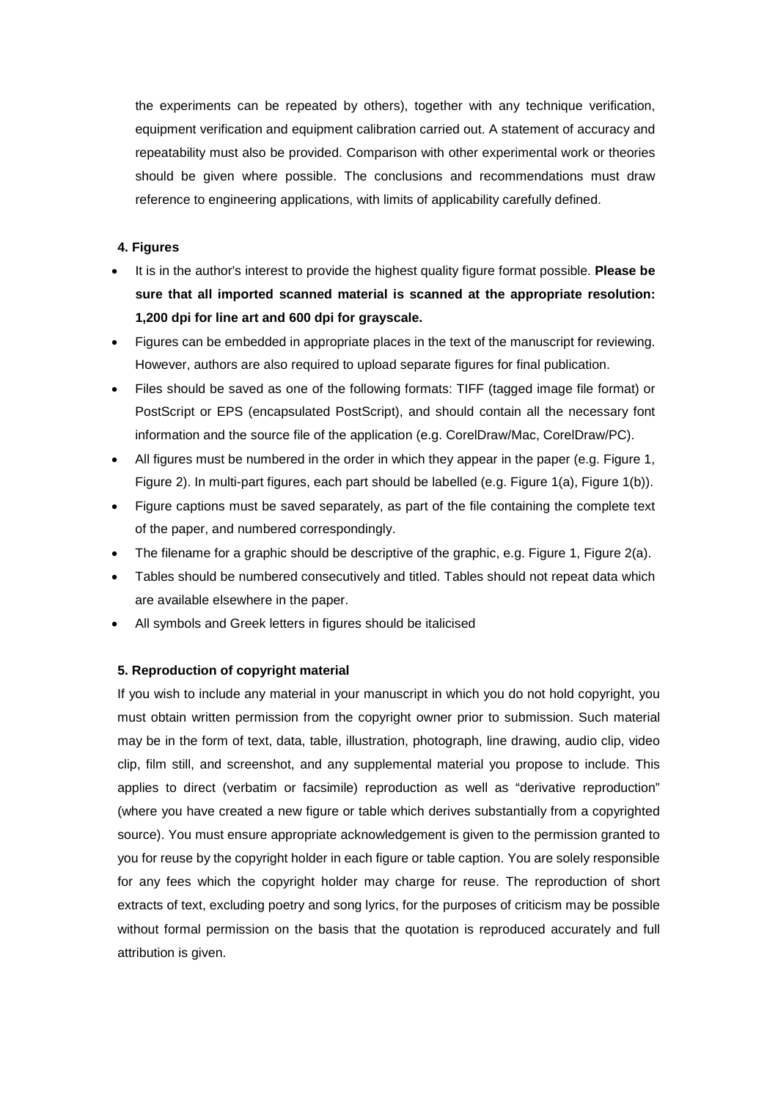the experiments can be repeated by others), together with any technique verification, equipment verification and equipment calibration carried out. A statement of accuracy and repeatability must also be provided. Comparison with other experimental work or theories should be given where possible. The conclusions and recommendations must draw reference to engineering applications, with limits of applicability carefully defined.

# **4. Figures**

- It is in the author's interest to provide the highest quality figure format possible. **Please be sure that all imported scanned material is scanned at the appropriate resolution: 1,200 dpi for line art and 600 dpi for grayscale.**
- Figures can be embedded in appropriate places in the text of the manuscript for reviewing. However, authors are also required to upload separate figures for final publication.
- Files should be saved as one of the following formats: TIFF (tagged image file format) or PostScript or EPS (encapsulated PostScript), and should contain all the necessary font information and the source file of the application (e.g. CorelDraw/Mac, CorelDraw/PC).
- All figures must be numbered in the order in which they appear in the paper (e.g. Figure 1, Figure 2). In multi-part figures, each part should be labelled (e.g. Figure 1(a), Figure 1(b)).
- Figure captions must be saved separately, as part of the file containing the complete text of the paper, and numbered correspondingly.
- The filename for a graphic should be descriptive of the graphic, e.g. Figure 1, Figure 2(a).
- Tables should be numbered consecutively and titled. Tables should not repeat data which are available elsewhere in the paper.
- All symbols and Greek letters in figures should be italicised

# **5. Reproduction of copyright material**

If you wish to include any material in your manuscript in which you do not hold copyright, you must obtain written permission from the copyright owner prior to submission. Such material may be in the form of text, data, table, illustration, photograph, line drawing, audio clip, video clip, film still, and screenshot, and any supplemental material you propose to include. This applies to direct (verbatim or facsimile) reproduction as well as "derivative reproduction" (where you have created a new figure or table which derives substantially from a copyrighted source). You must ensure appropriate acknowledgement is given to the permission granted to you for reuse by the copyright holder in each figure or table caption. You are solely responsible for any fees which the copyright holder may charge for reuse. The reproduction of short extracts of text, excluding poetry and song lyrics, for the purposes of criticism may be possible without formal permission on the basis that the quotation is reproduced accurately and full attribution is given.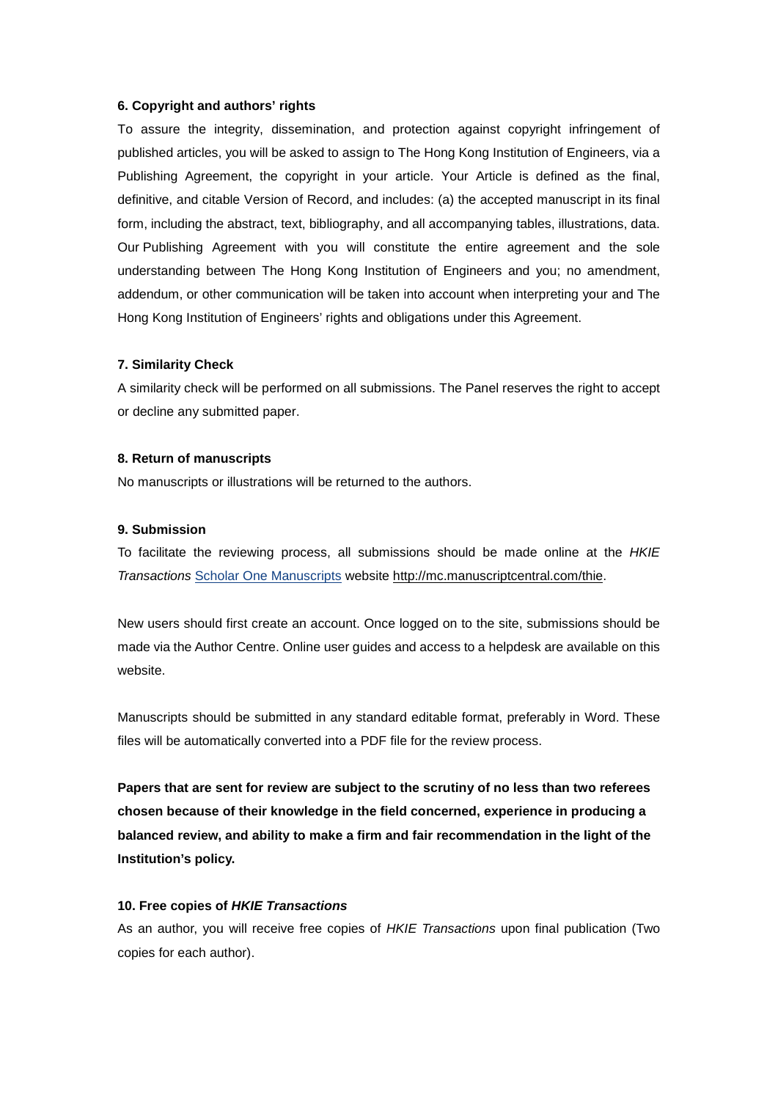### **6. Copyright and authors' rights**

To assure the integrity, dissemination, and protection against copyright infringement of published articles, you will be asked to assign to The Hong Kong Institution of Engineers, via a Publishing Agreement, the copyright in your article. Your Article is defined as the final, definitive, and citable Version of Record, and includes: (a) the accepted manuscript in its final form, including the abstract, text, bibliography, and all accompanying tables, illustrations, data. Our Publishing Agreement with you will constitute the entire agreement and the sole understanding between The Hong Kong Institution of Engineers and you; no amendment, addendum, or other communication will be taken into account when interpreting your and The Hong Kong Institution of Engineers' rights and obligations under this Agreement.

### **7. Similarity Check**

A similarity check will be performed on all submissions. The Panel reserves the right to accept or decline any submitted paper.

### **8. Return of manuscripts**

No manuscripts or illustrations will be returned to the authors.

### **9. Submission**

To facilitate the reviewing process, all submissions should be made online at the *HKIE Transactions* [Scholar One Manuscripts](http://mc.manuscriptcentral.com/thie) website http://mc.manuscriptcentral.com/thie.

New users should first create an account. Once logged on to the site, submissions should be made via the Author Centre. Online user guides and access to a helpdesk are available on this website.

Manuscripts should be submitted in any standard editable format, preferably in Word. These files will be automatically converted into a PDF file for the review process.

**Papers that are sent for review are subject to the scrutiny of no less than two referees chosen because of their knowledge in the field concerned, experience in producing a balanced review, and ability to make a firm and fair recommendation in the light of the Institution's policy.**

### **10. Free copies of** *HKIE Transactions*

As an author, you will receive free copies of *HKIE Transactions* upon final publication (Two copies for each author).